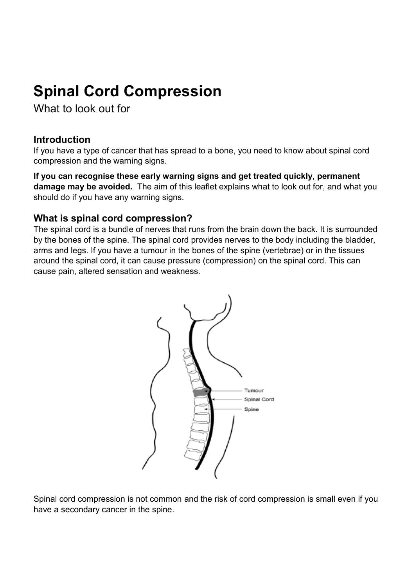# **Spinal Cord Compression**

What to look out for

## **Introduction**

If you have a type of cancer that has spread to a bone, you need to know about spinal cord compression and the warning signs.

**If you can recognise these early warning signs and get treated quickly, permanent damage may be avoided.** The aim of this leaflet explains what to look out for, and what you should do if you have any warning signs.

### **What is spinal cord compression?**

The spinal cord is a bundle of nerves that runs from the brain down the back. It is surrounded by the bones of the spine. The spinal cord provides nerves to the body including the bladder, arms and legs. If you have a tumour in the bones of the spine (vertebrae) or in the tissues around the spinal cord, it can cause pressure (compression) on the spinal cord. This can cause pain, altered sensation and weakness.



Spinal cord compression is not common and the risk of cord compression is small even if you have a secondary cancer in the spine.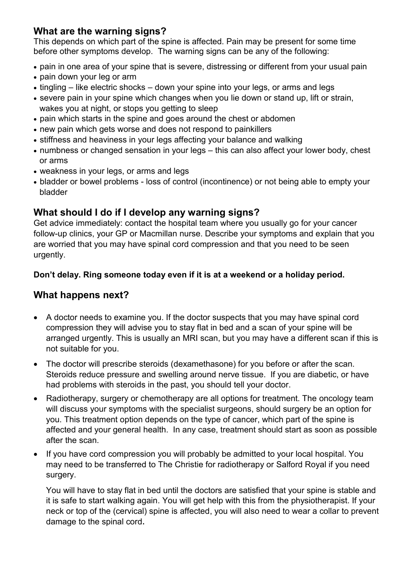## **What are the warning signs?**

This depends on which part of the spine is affected. Pain may be present for some time before other symptoms develop. The warning signs can be any of the following:

- pain in one area of your spine that is severe, distressing or different from your usual pain
- pain down your leg or arm
- tingling like electric shocks down your spine into your legs, or arms and legs
- severe pain in your spine which changes when you lie down or stand up, lift or strain, wakes you at night, or stops you getting to sleep
- pain which starts in the spine and goes around the chest or abdomen
- new pain which gets worse and does not respond to painkillers
- stiffness and heaviness in your legs affecting your balance and walking
- numbness or changed sensation in your legs this can also affect your lower body, chest or arms
- weakness in your legs, or arms and legs
- bladder or bowel problems loss of control (incontinence) or not being able to empty your bladder

## **What should I do if I develop any warning signs?**

Get advice immediately: contact the hospital team where you usually go for your cancer follow-up clinics, your GP or Macmillan nurse. Describe your symptoms and explain that you are worried that you may have spinal cord compression and that you need to be seen urgently.

### **Don't delay. Ring someone today even if it is at a weekend or a holiday period.**

# **What happens next?**

- A doctor needs to examine you. If the doctor suspects that you may have spinal cord compression they will advise you to stay flat in bed and a scan of your spine will be arranged urgently. This is usually an MRI scan, but you may have a different scan if this is not suitable for you.
- The doctor will prescribe steroids (dexamethasone) for you before or after the scan. Steroids reduce pressure and swelling around nerve tissue. If you are diabetic, or have had problems with steroids in the past, you should tell your doctor.
- Radiotherapy, surgery or chemotherapy are all options for treatment. The oncology team will discuss your symptoms with the specialist surgeons, should surgery be an option for you. This treatment option depends on the type of cancer, which part of the spine is affected and your general health. In any case, treatment should start as soon as possible after the scan.
- If you have cord compression you will probably be admitted to your local hospital. You may need to be transferred to The Christie for radiotherapy or Salford Royal if you need surgery.

You will have to stay flat in bed until the doctors are satisfied that your spine is stable and it is safe to start walking again. You will get help with this from the physiotherapist. If your neck or top of the (cervical) spine is affected, you will also need to wear a collar to prevent damage to the spinal cord.